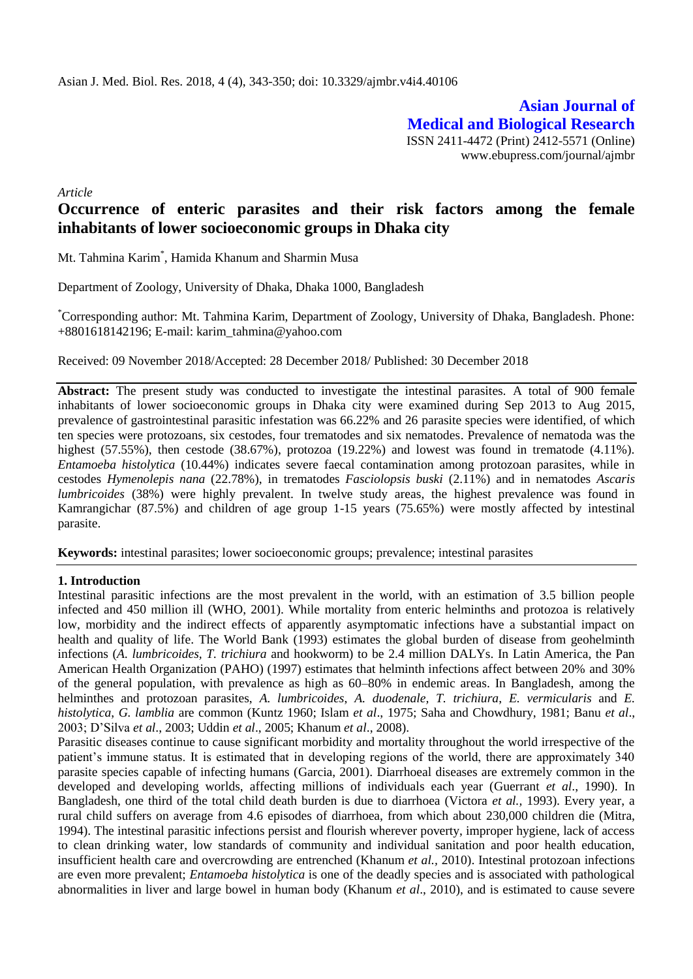**Asian Journal of Medical and Biological Research** ISSN 2411-4472 (Print) 2412-5571 (Online) www.ebupress.com/journal/ajmbr

*Article*

# **Occurrence of enteric parasites and their risk factors among the female inhabitants of lower socioeconomic groups in Dhaka city**

Mt. Tahmina Karim\* , Hamida Khanum and Sharmin Musa

Department of Zoology, University of Dhaka, Dhaka 1000, Bangladesh

\*Corresponding author: Mt. Tahmina Karim, Department of Zoology, University of Dhaka, Bangladesh. Phone: +8801618142196; E-mail: karim\_tahmina@yahoo.com

Received: 09 November 2018/Accepted: 28 December 2018/ Published: 30 December 2018

**Abstract:** The present study was conducted to investigate the intestinal parasites. A total of 900 female inhabitants of lower socioeconomic groups in Dhaka city were examined during Sep 2013 to Aug 2015, prevalence of gastrointestinal parasitic infestation was 66.22% and 26 parasite species were identified, of which ten species were protozoans, six cestodes, four trematodes and six nematodes. Prevalence of nematoda was the highest (57.55%), then cestode (38.67%), protozoa (19.22%) and lowest was found in trematode (4.11%). *Entamoeba histolytica* (10.44%) indicates severe faecal contamination among protozoan parasites, while in cestodes *Hymenolepis nana* (22.78%), in trematodes *Fasciolopsis buski* (2.11%) and in nematodes *Ascaris lumbricoides* (38%) were highly prevalent. In twelve study areas, the highest prevalence was found in Kamrangichar (87.5%) and children of age group 1-15 years (75.65%) were mostly affected by intestinal parasite.

**Keywords:** intestinal parasites; lower socioeconomic groups; prevalence; intestinal parasites

### **1. Introduction**

Intestinal parasitic infections are the most prevalent in the world, with an estimation of 3.5 billion people infected and 450 million ill (WHO, 2001). While mortality from enteric helminths and protozoa is relatively low, morbidity and the indirect effects of apparently asymptomatic infections have a substantial impact on health and quality of life. The World Bank (1993) estimates the global burden of disease from geohelminth infections (*A. lumbricoides, T. trichiura* and hookworm) to be 2.4 million DALYs. In Latin America, the Pan American Health Organization (PAHO) (1997) estimates that helminth infections affect between 20% and 30% of the general population, with prevalence as high as 60–80% in endemic areas. In Bangladesh, among the helminthes and protozoan parasites, *A. lumbricoides*, *A. duodenale, T. trichiura*, *E. vermicularis* and *E. histolytica*, *G. lamblia* are common (Kuntz 1960; Islam *et al*., 1975; Saha and Chowdhury, 1981; Banu *et al*., 2003; D'Silva *et al*., 2003; Uddin *et al*., 2005; Khanum *et al*., 2008).

Parasitic diseases continue to cause significant morbidity and mortality throughout the world irrespective of the patient's immune status. It is estimated that in developing regions of the world, there are approximately 340 parasite species capable of infecting humans (Garcia, 2001). Diarrhoeal diseases are extremely common in the developed and developing worlds, affecting millions of individuals each year (Guerrant *et al*., 1990). In Bangladesh, one third of the total child death burden is due to diarrhoea (Victora *et al.,* 1993). Every year, a rural child suffers on average from 4.6 episodes of diarrhoea, from which about 230,000 children die (Mitra, 1994). The intestinal parasitic infections persist and flourish wherever poverty, improper hygiene, lack of access to clean drinking water, low standards of community and individual sanitation and poor health education, insufficient health care and overcrowding are entrenched (Khanum *et al.,* 2010). Intestinal protozoan infections are even more prevalent; *Entamoeba histolytica* is one of the deadly species and is associated with pathological abnormalities in liver and large bowel in human body (Khanum *et al*., 2010), and is estimated to cause severe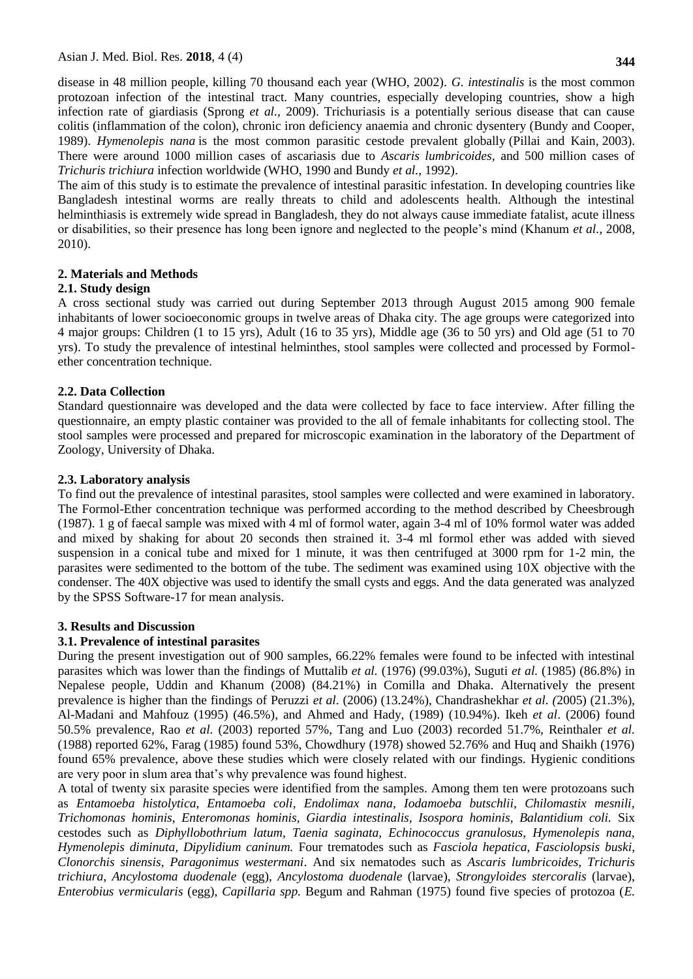disease in 48 million people, killing 70 thousand each year (WHO, 2002). *G. intestinalis* is the most common protozoan infection of the intestinal tract. Many countries, especially developing countries, show a high infection rate of giardiasis (Sprong *et al.,* 2009). Trichuriasis is a potentially serious disease that can cause colitis (inflammation of the colon), chronic iron deficiency anaemia and chronic dysentery (Bundy and Cooper, 1989). *Hymenolepis nana* is the most common parasitic cestode prevalent globally (Pillai and Kain, 2003). There were around 1000 million cases of ascariasis due to *Ascaris lumbricoides,* and 500 million cases of *Trichuris trichiura* infection worldwide (WHO, 1990 and Bundy *et al.,* 1992).

The aim of this study is to estimate the prevalence of intestinal parasitic infestation. In developing countries like Bangladesh intestinal worms are really threats to child and adolescents health. Although the intestinal helminthiasis is extremely wide spread in Bangladesh, they do not always cause immediate fatalist, acute illness or disabilities, so their presence has long been ignore and neglected to the people's mind (Khanum *et al.,* 2008, 2010).

# **2. Materials and Methods**

# **2.1. Study design**

A cross sectional study was carried out during September 2013 through August 2015 among 900 female inhabitants of lower socioeconomic groups in twelve areas of Dhaka city. The age groups were categorized into 4 major groups: Children (1 to 15 yrs), Adult (16 to 35 yrs), Middle age (36 to 50 yrs) and Old age (51 to 70 yrs). To study the prevalence of intestinal helminthes, stool samples were collected and processed by Formolether concentration technique.

# **2.2. Data Collection**

Standard questionnaire was developed and the data were collected by face to face interview. After filling the questionnaire, an empty plastic container was provided to the all of female inhabitants for collecting stool. The stool samples were processed and prepared for microscopic examination in the laboratory of the Department of Zoology, University of Dhaka.

# **2.3. Laboratory analysis**

To find out the prevalence of intestinal parasites, stool samples were collected and were examined in laboratory. The Formol-Ether concentration technique was performed according to the method described by Cheesbrough (1987). 1 g of faecal sample was mixed with 4 ml of formol water, again 3-4 ml of 10% formol water was added and mixed by shaking for about 20 seconds then strained it. 3-4 ml formol ether was added with sieved suspension in a conical tube and mixed for 1 minute, it was then centrifuged at 3000 rpm for 1-2 min, the parasites were sedimented to the bottom of the tube. The sediment was examined using 10X objective with the condenser. The 40X objective was used to identify the small cysts and eggs. And the data generated was analyzed by the SPSS Software-17 for mean analysis.

### **3. Results and Discussion**

# **3.1. Prevalence of intestinal parasites**

During the present investigation out of 900 samples, 66.22% females were found to be infected with intestinal parasites which was lower than the findings of Muttalib *et al.* (1976) (99.03%), Suguti *et al.* (1985) (86.8%) in Nepalese people, Uddin and Khanum (2008) (84.21%) in Comilla and Dhaka. Alternatively the present prevalence is higher than the findings of Peruzzi *et al*. (2006) (13.24%), Chandrashekhar *et al. (*2005) (21.3%), Al-Madani and Mahfouz (1995) (46.5%), and Ahmed and Hady, (1989) (10.94%). Ikeh *et al*. (2006) found 50.5% prevalence, Rao *et al.* (2003) reported 57%, Tang and Luo (2003) recorded 51.7%, Reinthaler *et al.* (1988) reported 62%, Farag (1985) found 53%, Chowdhury (1978) showed 52.76% and Huq and Shaikh (1976) found 65% prevalence, above these studies which were closely related with our findings. Hygienic conditions are very poor in slum area that's why prevalence was found highest.

A total of twenty six parasite species were identified from the samples. Among them ten were protozoans such as *Entamoeba histolytica*, *Entamoeba coli*, *Endolimax nana, Iodamoeba butschlii, Chilomastix mesnili, Trichomonas hominis, Enteromonas hominis, Giardia intestinalis, Isospora hominis, Balantidium coli.* Six cestodes such as *Diphyllobothrium latum*, *Taenia saginata, Echinococcus granulosus, Hymenolepis nana, Hymenolepis diminuta, Dipylidium caninum.* Four trematodes such as *Fasciola hepatica*, *Fasciolopsis buski*, *Clonorchis sinensis*, *Paragonimus westermani*. And six nematodes such as *Ascaris lumbricoides, Trichuris trichiura, Ancylostoma duodenale* (egg), *Ancylostoma duodenale* (larvae), *Strongyloides stercoralis* (larvae), *Enterobius vermicularis* (egg), *Capillaria spp.* Begum and Rahman (1975) found five species of protozoa (*E.*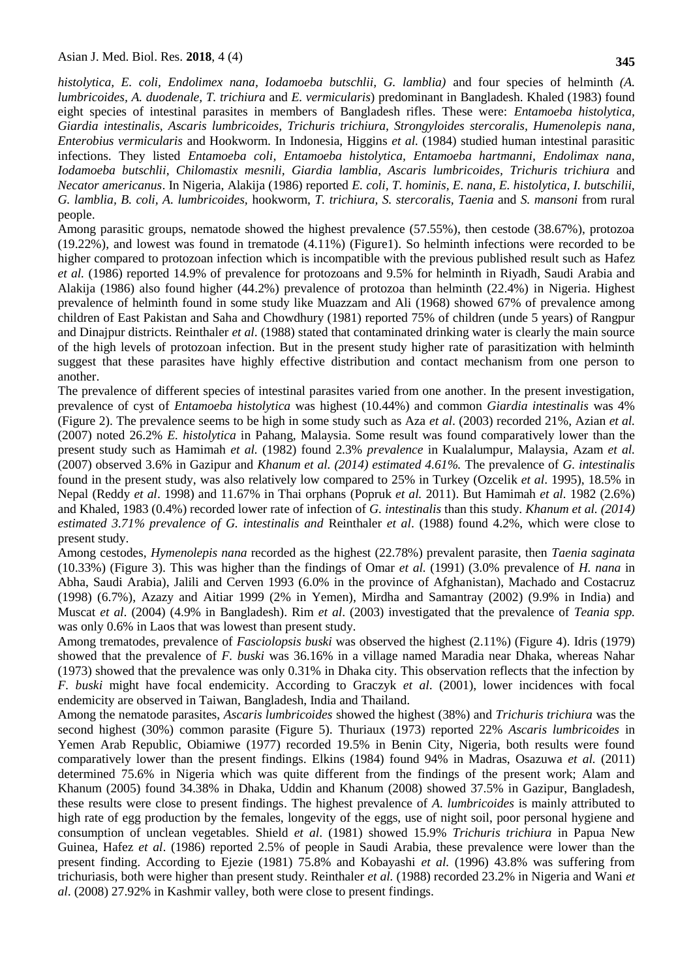#### Asian J. Med. Biol. Res. **2018**, 4 (4)

*histolytica, E. coli, Endolimex nana, Iodamoeba butschlii, G. lamblia)* and four species of helminth *(A. lumbricoides, A. duodenale, T. trichiura* and *E. vermicularis*) predominant in Bangladesh. Khaled (1983) found eight species of intestinal parasites in members of Bangladesh rifles. These were: *Entamoeba histolytica, Giardia intestinalis, Ascaris lumbricoides, Trichuris trichiura, Strongyloides stercoralis, Humenolepis nana, Enterobius vermicularis* and Hookworm. In Indonesia, Higgins *et al.* (1984) studied human intestinal parasitic infections. They listed *Entamoeba coli, Entamoeba histolytica, Entamoeba hartmanni, Endolimax nana, Iodamoeba butschlii, Chilomastix mesnili, Giardia lamblia, Ascaris lumbricoides, Trichuris trichiura* and *Necator americanus*. In Nigeria, Alakija (1986) reported *E. coli, T. hominis, E. nana, E. histolytica, I. butschilii, G. lamblia, B. coli, A. lumbricoides,* hookworm, *T. trichiura, S. stercoralis, Taenia* and *S. mansoni* from rural people.

Among parasitic groups, nematode showed the highest prevalence (57.55%), then cestode (38.67%), protozoa (19.22%), and lowest was found in trematode (4.11%) (Figure1). So helminth infections were recorded to be higher compared to protozoan infection which is incompatible with the previous published result such as Hafez *et al.* (1986) reported 14.9% of prevalence for protozoans and 9.5% for helminth in Riyadh, Saudi Arabia and Alakija (1986) also found higher (44.2%) prevalence of protozoa than helminth (22.4%) in Nigeria. Highest prevalence of helminth found in some study like Muazzam and Ali (1968) showed 67% of prevalence among children of East Pakistan and Saha and Chowdhury (1981) reported 75% of children (unde 5 years) of Rangpur and Dinajpur districts. Reinthaler *et al*. (1988) stated that contaminated drinking water is clearly the main source of the high levels of protozoan infection. But in the present study higher rate of parasitization with helminth suggest that these parasites have highly effective distribution and contact mechanism from one person to another.

The prevalence of different species of intestinal parasites varied from one another. In the present investigation, prevalence of cyst of *Entamoeba histolytica* was highest (10.44%) and common *Giardia intestinalis* was 4% (Figure 2). The prevalence seems to be high in some study such as Aza *et al*. (2003) recorded 21%*,* Azian *et al.* (2007) noted 26.2% *E. histolytica* in Pahang, Malaysia. Some result was found comparatively lower than the present study such as Hamimah *et al.* (1982) found 2.3% *prevalence* in Kualalumpur, Malaysia, Azam *et al.* (2007) observed 3.6% in Gazipur and *Khanum et al. (2014) estimated 4.61%.* The prevalence of *G. intestinalis* found in the present study, was also relatively low compared to 25% in Turkey (Ozcelik *et al*. 1995), 18.5% in Nepal (Reddy *et al*. 1998) and 11.67% in Thai orphans (Popruk *et al.* 2011). But Hamimah *et al.* 1982 (2.6%) and Khaled, 1983 (0.4%) recorded lower rate of infection of *G. intestinalis* than this study. *Khanum et al. (2014) estimated 3.71% prevalence of G. intestinalis and* Reinthaler *et al*. (1988) found 4.2%, which were close to present study.

Among cestodes, *Hymenolepis nana* recorded as the highest (22.78%) prevalent parasite, then *Taenia saginata*  (10.33%) (Figure 3). This was higher than the findings of Omar *et al.* (1991) (3.0% prevalence of *H. nana* in Abha, Saudi Arabia), Jalili and Cerven 1993 (6.0% in the province of Afghanistan), Machado and Costacruz (1998) (6.7%), Azazy and Aitiar 1999 (2% in Yemen), Mirdha and Samantray (2002) (9.9% in India) and Muscat *et al*. (2004) (4.9% in Bangladesh). Rim *et al*. (2003) investigated that the prevalence of *Teania spp.*  was only 0.6% in Laos that was lowest than present study.

Among trematodes, prevalence of *Fasciolopsis buski* was observed the highest (2.11%) (Figure 4). Idris (1979) showed that the prevalence of *F. buski* was 36.16% in a village named Maradia near Dhaka, whereas Nahar (1973) showed that the prevalence was only 0.31% in Dhaka city. This observation reflects that the infection by *F. buski* might have focal endemicity. According to Graczyk *et al*. (2001), lower incidences with focal endemicity are observed in Taiwan, Bangladesh, India and Thailand.

Among the nematode parasites, *Ascaris lumbricoides* showed the highest (38%) and *Trichuris trichiura* was the second highest (30%) common parasite (Figure 5). Thuriaux (1973) reported 22% *Ascaris lumbricoides* in Yemen Arab Republic, Obiamiwe (1977) recorded 19.5% in Benin City, Nigeria, both results were found comparatively lower than the present findings. Elkins (1984) found 94% in Madras, Osazuwa *et al.* (2011) determined 75.6% in Nigeria which was quite different from the findings of the present work; Alam and Khanum (2005) found 34.38% in Dhaka, Uddin and Khanum (2008) showed 37.5% in Gazipur, Bangladesh, these results were close to present findings. The highest prevalence of *A. lumbricoides* is mainly attributed to high rate of egg production by the females, longevity of the eggs, use of night soil, poor personal hygiene and consumption of unclean vegetables. Shield *et al*. (1981) showed 15.9% *Trichuris trichiura* in Papua New Guinea, Hafez *et al*. (1986) reported 2.5% of people in Saudi Arabia, these prevalence were lower than the present finding. According to Ejezie (1981) 75.8% and Kobayashi *et al.* (1996) 43.8% was suffering from trichuriasis, both were higher than present study. Reinthaler *et al.* (1988) recorded 23.2% in Nigeria and Wani *et al*. (2008) 27.92% in Kashmir valley, both were close to present findings.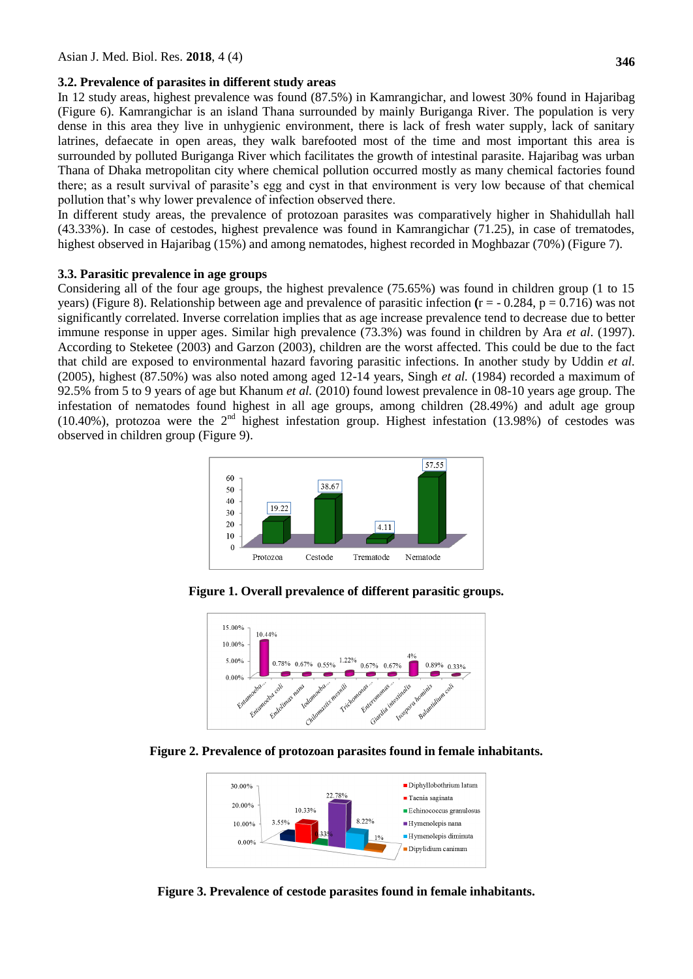#### **3.2. Prevalence of parasites in different study areas**

In 12 study areas, highest prevalence was found (87.5%) in Kamrangichar, and lowest 30% found in Hajaribag (Figure 6). Kamrangichar is an island Thana surrounded by mainly Buriganga River. The population is very dense in this area they live in unhygienic environment, there is lack of fresh water supply, lack of sanitary latrines, defaecate in open areas, they walk barefooted most of the time and most important this area is surrounded by polluted Buriganga River which facilitates the growth of intestinal parasite. Hajaribag was urban Thana of Dhaka metropolitan city where chemical pollution occurred mostly as many chemical factories found there; as a result survival of parasite's egg and cyst in that environment is very low because of that chemical pollution that's why lower prevalence of infection observed there.

In different study areas, the prevalence of protozoan parasites was comparatively higher in Shahidullah hall (43.33%). In case of cestodes, highest prevalence was found in Kamrangichar (71.25), in case of trematodes, highest observed in Hajaribag (15%) and among nematodes, highest recorded in Moghbazar (70%) (Figure 7).

#### **3.3. Parasitic prevalence in age groups**

Considering all of the four age groups, the highest prevalence (75.65%) was found in children group (1 to 15 years) (Figure 8). Relationship between age and prevalence of parasitic infection  $(r = -0.284, p = 0.716)$  was not significantly correlated. Inverse correlation implies that as age increase prevalence tend to decrease due to better immune response in upper ages. Similar high prevalence (73.3%) was found in children by Ara *et al*. (1997). According to Steketee (2003) and Garzon (2003), children are the worst affected. This could be due to the fact that child are exposed to environmental hazard favoring parasitic infections. In another study by Uddin *et al.* (2005), highest (87.50%) was also noted among aged 12-14 years, Singh *et al.* (1984) recorded a maximum of 92.5% from 5 to 9 years of age but Khanum *et al.* (2010) found lowest prevalence in 08-10 years age group. The infestation of nematodes found highest in all age groups, among children (28.49%) and adult age group (10.40%), protozoa were the  $2<sup>nd</sup>$  highest infestation group. Highest infestation (13.98%) of cestodes was observed in children group (Figure 9).



**Figure 1. Overall prevalence of different parasitic groups.**



**Figure 2. Prevalence of protozoan parasites found in female inhabitants.**



**Figure 3. Prevalence of cestode parasites found in female inhabitants.**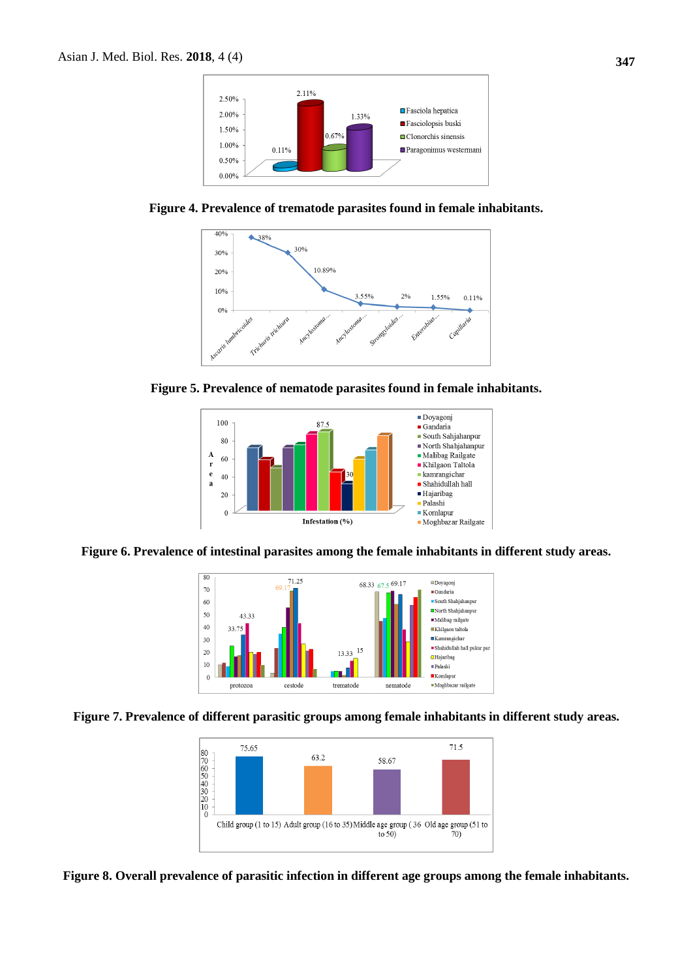

**Figure 4. Prevalence of trematode parasites found in female inhabitants.**







**Figure 6. Prevalence of intestinal parasites among the female inhabitants in different study areas.**







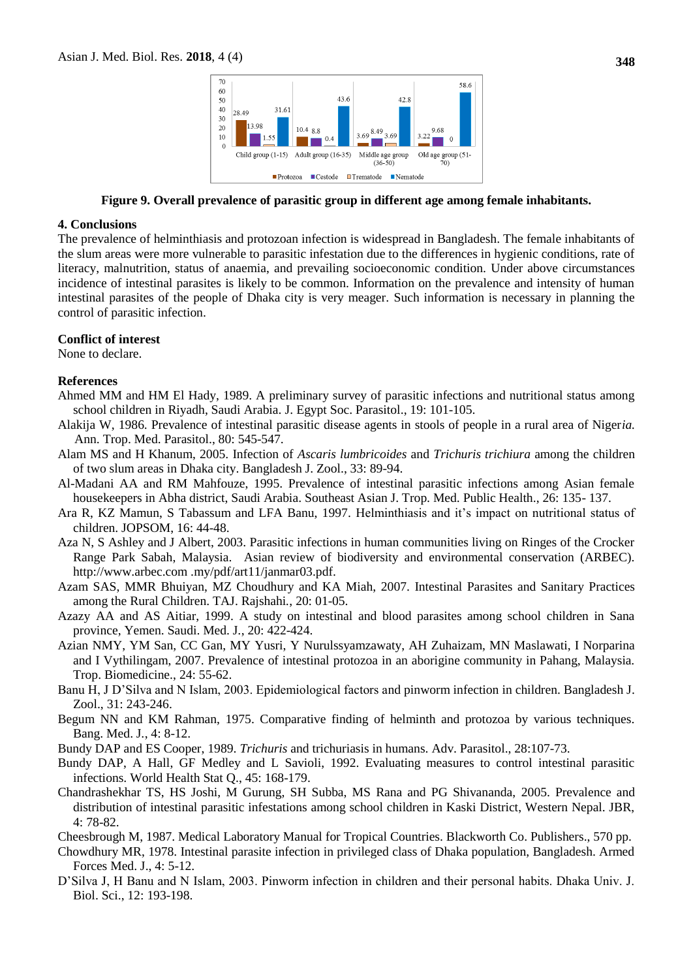

**Figure 9. Overall prevalence of parasitic group in different age among female inhabitants.**

#### **4. Conclusions**

The prevalence of helminthiasis and protozoan infection is widespread in Bangladesh. The female inhabitants of the slum areas were more vulnerable to parasitic infestation due to the differences in hygienic conditions, rate of literacy, malnutrition, status of anaemia, and prevailing socioeconomic condition. Under above circumstances incidence of intestinal parasites is likely to be common. Information on the prevalence and intensity of human intestinal parasites of the people of Dhaka city is very meager. Such information is necessary in planning the control of parasitic infection.

### **Conflict of interest**

None to declare.

### **References**

Ahmed MM and HM El Hady, 1989. A preliminary survey of parasitic infections and nutritional status among school children in Riyadh, Saudi Arabia. J. Egypt Soc. Parasitol., 19: 101-105.

- [Alakija W,](https://www.ncbi.nlm.nih.gov/pubmed/?term=Alakija%20W%5BAuthor%5D&cauthor=true&cauthor_uid=3632103) 1986. Prevalence of intestinal parasitic disease agents in stools of people in a rural area of Niger*ia.*  [Ann. Trop. Med. Parasitol.,](https://www.ncbi.nlm.nih.gov/pubmed/3632103?dopt=Abstract) 80: 545-547.
- Alam MS and H Khanum, 2005. Infection of *Ascaris lumbricoides* and *Trichuris trichiura* among the children of two slum areas in Dhaka city. Bangladesh J. Zool., 33: 89-94.
- Al-Madani AA and RM Mahfouze, 1995. Prevalence of intestinal parasitic infections among Asian female housekeepers in Abha district, Saudi Arabia. Southeast Asian J. Trop. Med. Public Health., 26: 135- 137.
- Ara R, KZ Mamun, S Tabassum and LFA Banu, 1997. Helminthiasis and it's impact on nutritional status of children. JOPSOM, 16: 44-48.
- Aza N, S Ashley and J Albert, 2003. Parasitic infections in human communities living on Ringes of the Crocker Range Park Sabah, Malaysia. Asian review of biodiversity and environmental conservation (ARBEC). [http://www.arbec.com](http://www.arbec.com/) .my/pdf/art11/janmar03.pdf.
- Azam SAS, MMR Bhuiyan, MZ Choudhury and KA Miah, 2007. Intestinal Parasites and Sanitary Practices among the Rural Children. TAJ. Rajshahi*.*, 20: 01-05.
- Azazy AA and AS Aitiar, 1999. A study on intestinal and blood parasites among school children in Sana province, Yemen. Saudi. Med. J*.*, 20: 422-424.
- Azian NMY, YM San, CC Gan, MY Yusri, Y Nurulssyamzawaty, AH Zuhaizam, MN Maslawati, I Norparina and I Vythilingam, 2007. Prevalence of intestinal protozoa in an aborigine community in Pahang, Malaysia. Trop. Biomedicine., 24: 55-62.
- Banu H, J D'Silva and N Islam, 2003. Epidemiological factors and pinworm infection in children. Bangladesh J. Zool., 31: 243-246.
- Begum NN and KM Rahman, 1975. Comparative finding of helminth and protozoa by various techniques. Bang. Med. J*.*, 4: 8-12.
- Bundy DAP and ES Cooper, 1989. *Trichuris* and trichuriasis in humans. Adv. Parasitol., 28:107-73.
- Bundy DAP, A Hall, GF Medley and L Savioli, 1992. Evaluating measures to control intestinal parasitic infections. World Health Stat Q., 45: 168-179.
- Chandrashekhar TS, HS Joshi, M Gurung, SH Subba, MS Rana and PG Shivananda, 2005. Prevalence and distribution of intestinal parasitic infestations among school children in Kaski District, Western Nepal. JBR, 4: 78-82.
- Cheesbrough M, 1987. Medical Laboratory Manual for Tropical Countries. Blackworth Co. Publishers., 570 pp.
- Chowdhury MR, 1978. Intestinal parasite infection in privileged class of Dhaka population, Bangladesh. Armed Forces Med. J., 4: 5-12.
- D'Silva J, H Banu and N Islam, 2003. Pinworm infection in children and their personal habits. Dhaka Univ. J. Biol. Sci., 12: 193-198.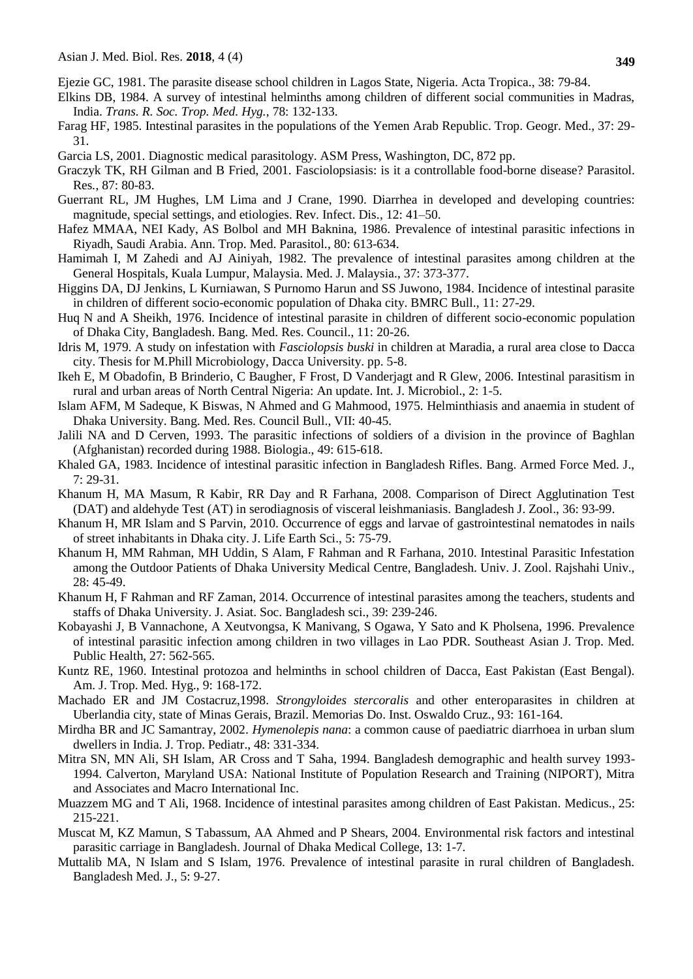- Ejezie GC, 1981. The parasite disease school children in Lagos State, Nigeria. Acta Tropica*.*, 38: 79-84.
- Elkins DB, 1984. A survey of intestinal helminths among children of different social communities in Madras, India. *Trans. R. Soc. Trop. Med. Hyg.*, 78: 132-133.
- Farag HF, 1985. Intestinal parasites in the populations of the Yemen Arab Republic. Trop. Geogr. Med., 37: 29- 31.
- Garcia LS, 2001. Diagnostic medical parasitology. ASM Press, Washington, DC, 872 pp.
- Graczyk TK, RH Gilman and B Fried, 2001. Fasciolopsiasis: is it a controllable food-borne disease? Parasitol. Res*.*, 87: 80-83.
- Guerrant RL, JM Hughes, LM Lima and J Crane, 1990. Diarrhea in developed and developing countries: magnitude, special settings, and etiologies. Rev. Infect. Dis., 12: 41–50.
- Hafez MMAA, NEI Kady, AS Bolbol and MH Baknina, 1986. Prevalence of intestinal parasitic infections in Riyadh, Saudi Arabia. Ann. Trop. Med. Parasitol*.*, 80: 613-634.
- Hamimah I, M Zahedi and AJ Ainiyah, 1982. The prevalence of intestinal parasites among children at the General Hospitals, Kuala Lumpur, Malaysia. Med. J. Malaysia., 37: 373-377.
- Higgins DA, DJ Jenkins, L Kurniawan, S Purnomo Harun and SS Juwono, 1984. Incidence of intestinal parasite in children of different socio-economic population of Dhaka city. BMRC Bull., 11: 27-29.
- Huq N and A Sheikh, 1976. Incidence of intestinal parasite in children of different socio-economic population of Dhaka City, Bangladesh. Bang. Med. Res. Council., 11: 20-26.
- Idris M, 1979. A study on infestation with *Fasciolopsis buski* in children at Maradia, a rural area close to Dacca city. Thesis for M.Phill Microbiology, Dacca University. pp. 5-8.
- Ikeh E, M Obadofin, B Brinderio, C Baugher, F Frost, D Vanderjagt and R Glew, 2006. Intestinal parasitism in rural and urban areas of North Central Nigeria: An update. Int. J. Microbiol., 2: 1-5.
- Islam AFM, M Sadeque, K Biswas, N Ahmed and G Mahmood, 1975. Helminthiasis and anaemia in student of Dhaka University. Bang. Med. Res. Council Bull., VII: 40-45.
- Jalili NA and D Cerven, 1993. The parasitic infections of soldiers of a division in the province of Baghlan (Afghanistan) recorded during 1988. Biologia., 49: 615-618.
- Khaled GA, 1983. Incidence of intestinal parasitic infection in Bangladesh Rifles. Bang. Armed Force Med. J., 7: 29-31.
- Khanum H, MA Masum, R Kabir, RR Day and R Farhana, 2008. Comparison of Direct Agglutination Test (DAT) and aldehyde Test (AT) in serodiagnosis of visceral leishmaniasis. Bangladesh J. Zool., 36: 93-99.
- Khanum H, MR Islam and S Parvin, 2010. Occurrence of eggs and larvae of gastrointestinal nematodes in nails of street inhabitants in Dhaka city. J. Life Earth Sci., 5: 75-79.
- Khanum H, MM Rahman, MH Uddin, S Alam, F Rahman and R Farhana, 2010. Intestinal Parasitic Infestation among the Outdoor Patients of Dhaka University Medical Centre, Bangladesh. Univ. J. Zool. Rajshahi Univ., 28: 45-49.
- Khanum H, F Rahman and RF Zaman, 2014. Occurrence of intestinal parasites among the teachers, students and staffs of Dhaka University. J. Asiat. Soc. Bangladesh sci., 39: 239-246.
- Kobayashi J, B Vannachone, A Xeutvongsa, K Manivang, S Ogawa, Y Sato and K Pholsena, 1996. Prevalence of intestinal parasitic infection among children in two villages in Lao PDR. Southeast Asian J. Trop. Med. Public Health, 27: 562-565.
- Kuntz RE, 1960. Intestinal protozoa and helminths in school children of Dacca, East Pakistan (East Bengal). Am. J. Trop. Med. Hyg., 9: 168-172.
- Machado ER and JM Costacruz,1998. *Strongyloides stercoralis* and other enteroparasites in children at Uberlandia city, state of Minas Gerais, Brazil. Memorias Do. Inst. Oswaldo Cruz., 93: 161-164.
- Mirdha BR and JC Samantray, 2002. *Hymenolepis nana*: a common cause of paediatric diarrhoea in urban slum dwellers in India. J. Trop. Pediatr., 48: 331-334.
- Mitra SN, MN Ali, SH Islam, AR Cross and T Saha, 1994. Bangladesh demographic and health survey 1993- 1994. Calverton, Maryland USA: National Institute of Population Research and Training (NIPORT), Mitra and Associates and Macro International Inc.
- Muazzem MG and T Ali, 1968. Incidence of intestinal parasites among children of East Pakistan. Medicus., 25: 215-221.
- Muscat M, KZ Mamun, S Tabassum, AA Ahmed and P Shears, 2004. Environmental risk factors and intestinal parasitic carriage in Bangladesh. Journal of Dhaka Medical College, 13: 1-7.
- Muttalib MA, N Islam and S Islam, 1976. Prevalence of intestinal parasite in rural children of Bangladesh. Bangladesh Med. J., 5: 9-27.